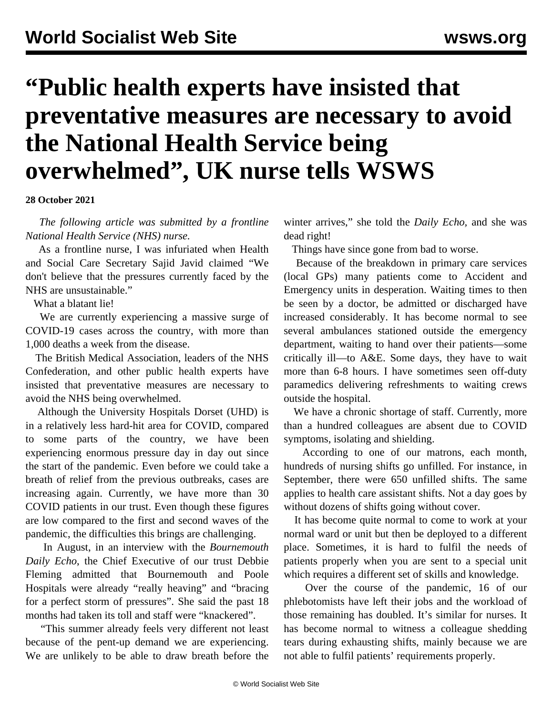## **"Public health experts have insisted that preventative measures are necessary to avoid the National Health Service being overwhelmed", UK nurse tells WSWS**

**28 October 2021**

 *The following article was submitted by a frontline National Health Service (NHS) nurse.*

 As a frontline nurse, I was infuriated when Health and Social Care Secretary Sajid Javid claimed "We don't believe that the pressures currently faced by the NHS are unsustainable."

What a blatant lie!

 We are currently experiencing a massive surge of COVID-19 cases across the country, with more than 1,000 deaths a week from the disease.

 The British Medical Association, leaders of the NHS Confederation, and other public health experts have insisted that preventative measures are necessary to avoid the NHS being overwhelmed.

 Although the University Hospitals Dorset (UHD) is in a relatively less hard-hit area for COVID, compared to some parts of the country, we have been experiencing enormous pressure day in day out since the start of the pandemic. Even before we could take a breath of relief from the previous outbreaks, cases are increasing again. Currently, we have more than 30 COVID patients in our trust. Even though these figures are low compared to the first and second waves of the pandemic, the difficulties this brings are challenging.

 In August, in an interview with the *Bournemouth Daily Echo*, the Chief Executive of our trust Debbie Fleming admitted that Bournemouth and Poole Hospitals were already "really heaving" and "bracing for a perfect storm of pressures". She said the past 18 months had taken its toll and staff were "knackered".

 "This summer already feels very different not least because of the pent-up demand we are experiencing. We are unlikely to be able to draw breath before the

winter arrives," she told the *Daily Echo,* and she was dead right!

Things have since gone from bad to worse.

 Because of the breakdown in primary care services (local GPs) many patients come to Accident and Emergency units in desperation. Waiting times to then be seen by a doctor, be admitted or discharged have increased considerably. It has become normal to see several ambulances stationed outside the emergency department, waiting to hand over their patients—some critically ill—to A&E. Some days, they have to wait more than 6-8 hours. I have sometimes seen off-duty paramedics delivering refreshments to waiting crews outside the hospital.

 We have a chronic shortage of staff. Currently, more than a hundred colleagues are absent due to COVID symptoms, isolating and shielding.

 According to one of our matrons, each month, hundreds of nursing shifts go unfilled. For instance, in September, there were 650 unfilled shifts. The same applies to health care assistant shifts. Not a day goes by without dozens of shifts going without cover.

 It has become quite normal to come to work at your normal ward or unit but then be deployed to a different place. Sometimes, it is hard to fulfil the needs of patients properly when you are sent to a special unit which requires a different set of skills and knowledge.

 Over the course of the pandemic, 16 of our phlebotomists have left their jobs and the workload of those remaining has doubled. It's similar for nurses. It has become normal to witness a colleague shedding tears during exhausting shifts, mainly because we are not able to fulfil patients' requirements properly.